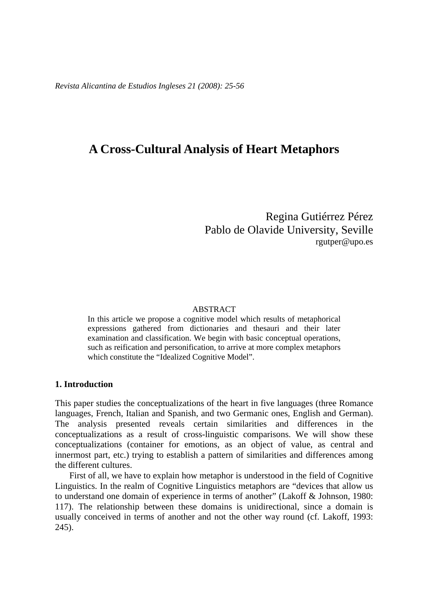*Revista Alicantina de Estudios Ingleses 21 (2008): 25-56* 

# **A Cross-Cultural Analysis of Heart Metaphors**

Regina Gutiérrez Pérez Pablo de Olavide University, Seville rgutper@upo.es

#### ABSTRACT

In this article we propose a cognitive model which results of metaphorical expressions gathered from dictionaries and thesauri and their later examination and classification. We begin with basic conceptual operations, such as reification and personification, to arrive at more complex metaphors which constitute the "Idealized Cognitive Model".

### **1. Introduction**

This paper studies the conceptualizations of the heart in five languages (three Romance languages, French, Italian and Spanish, and two Germanic ones, English and German). The analysis presented reveals certain similarities and differences in the conceptualizations as a result of cross-linguistic comparisons. We will show these conceptualizations (container for emotions, as an object of value, as central and innermost part, etc.) trying to establish a pattern of similarities and differences among the different cultures.

First of all, we have to explain how metaphor is understood in the field of Cognitive Linguistics. In the realm of Cognitive Linguistics metaphors are "devices that allow us to understand one domain of experience in terms of another" (Lakoff & Johnson, 1980: 117). The relationship between these domains is unidirectional, since a domain is usually conceived in terms of another and not the other way round (cf. Lakoff, 1993: 245).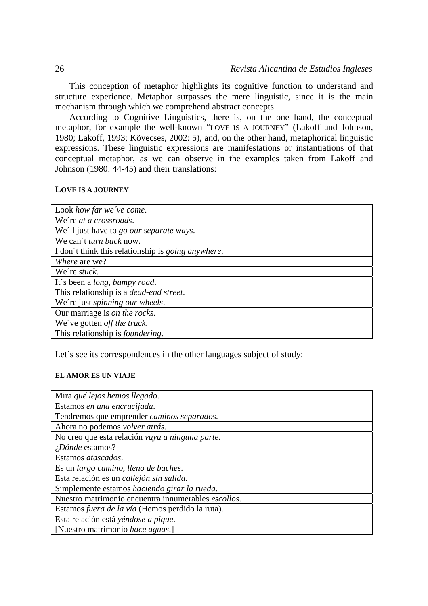This conception of metaphor highlights its cognitive function to understand and structure experience. Metaphor surpasses the mere linguistic, since it is the main mechanism through which we comprehend abstract concepts.

According to Cognitive Linguistics, there is, on the one hand, the conceptual metaphor, for example the well-known "LOVE IS A JOURNEY" (Lakoff and Johnson, 1980; Lakoff, 1993; Kövecses, 2002: 5), and, on the other hand, metaphorical linguistic expressions. These linguistic expressions are manifestations or instantiations of that conceptual metaphor, as we can observe in the examples taken from Lakoff and Johnson (1980: 44-45) and their translations:

#### **LOVE IS A JOURNEY**

| Look how far we've come.                                   |
|------------------------------------------------------------|
| We're at a crossroads.                                     |
| We'll just have to go our separate ways.                   |
| We can't turn back now.                                    |
| I don't think this relationship is <i>going anywhere</i> . |
| <i>Where</i> are we?                                       |
| We're <i>stuck</i> .                                       |
| It's been a long, bumpy road.                              |
| This relationship is a <i>dead-end street</i> .            |
| We're just spinning our wheels.                            |
| Our marriage is on the rocks.                              |
| We've gotten off the track.                                |
| This relationship is <i>foundering</i> .                   |

Let's see its correspondences in the other languages subject of study:

### **EL AMOR ES UN VIAJE**

| Mira qué lejos hemos llegado.                           |
|---------------------------------------------------------|
| Estamos en una encrucijada.                             |
| Tendremos que emprender caminos separados.              |
| Ahora no podemos volver atrás.                          |
| No creo que esta relación vaya a ninguna parte.         |
| ¿Dónde estamos?                                         |
| Estamos atascados.                                      |
| Es un largo camino, lleno de baches.                    |
| Esta relación es un callejón sin salida.                |
| Simplemente estamos haciendo girar la rueda.            |
| Nuestro matrimonio encuentra innumerables escollos.     |
| Estamos <i>fuera de la vía</i> (Hemos perdido la ruta). |
| Esta relación está yéndose a pique.                     |
| [Nuestro matrimonio hace aguas.]                        |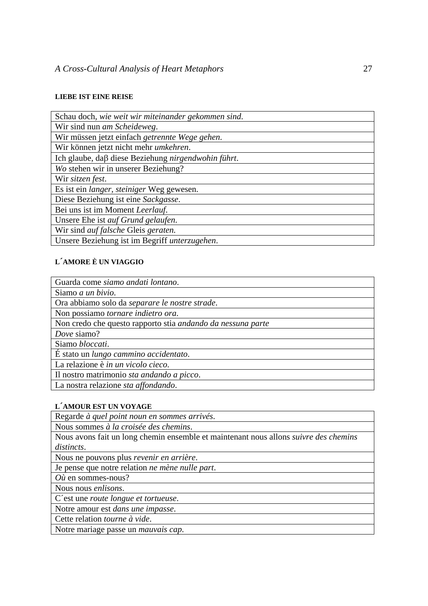### **LIEBE IST EINE REISE**

| Schau doch, wie weit wir miteinander gekommen sind. |
|-----------------------------------------------------|
| Wir sind nun am Scheideweg.                         |
| Wir müssen jetzt einfach getrennte Wege gehen.      |
| Wir können jetzt nicht mehr umkehren.               |
| Ich glaube, daβ diese Beziehung nirgendwohin führt. |
| Wo stehen wir in unserer Beziehung?                 |
| Wir sitzen fest.                                    |
| Es ist ein langer, steiniger Weg gewesen.           |
| Diese Beziehung ist eine Sackgasse.                 |
| Bei uns ist im Moment Leerlauf.                     |
| Unsere Ehe ist auf Grund gelaufen.                  |
| Wir sind <i>auf falsche</i> Gleis geraten.          |
| Unsere Beziehung ist im Begriff unterzugehen.       |

### **L´AMORE È UN VIAGGIO**

| Guarda come siamo andati lontano.                           |
|-------------------------------------------------------------|
| Siamo <i>a un bivio</i> .                                   |
| Ora abbiamo solo da separare le nostre strade.              |
| Non possiamo tornare indietro ora.                          |
| Non credo che questo rapporto stia andando da nessuna parte |
| Dove siamo?                                                 |
| Siamo bloccati.                                             |
| É stato un lungo cammino accidentato.                       |
| La relazione è in un vicolo cieco.                          |
| Il nostro matrimonio sta andando a picco.                   |
| La nostra relazione sta affondando.                         |

### **L´AMOUR EST UN VOYAGE**

Regarde *à quel point noun en sommes arrivés*.

Nous sommes *à la croisée des chemins*.

Nous avons fait un long chemin ensemble et maintenant nous allons *suivre des chemins distincts*.

Nous ne pouvons plus *revenir en arrière*.

Je pense que notre relation *ne mène nulle part*.

*Où* en sommes-nous?

Nous nous *enlisons*.

C´est une *route longue et tortueuse*.

Notre amour est *dans une impasse*.

Cette relation *tourne à vide*.

Notre mariage passe un *mauvais cap*.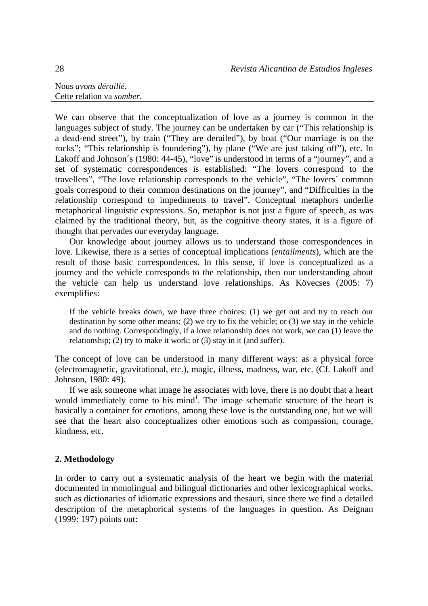| Nous avons déraillé.      |  |
|---------------------------|--|
| Cette relation va somber. |  |

We can observe that the conceptualization of love as a journey is common in the languages subject of study. The journey can be undertaken by car ("This relationship is a dead-end street"), by train ("They are derailed"), by boat ("Our marriage is on the rocks"; "This relationship is foundering"), by plane ("We are just taking off"), etc. In Lakoff and Johnson's (1980: 44-45), "love" is understood in terms of a "journey", and a set of systematic correspondences is established: "The lovers correspond to the travellers", "The love relationship corresponds to the vehicle", "The lovers´ common goals correspond to their common destinations on the journey", and "Difficulties in the relationship correspond to impediments to travel". Conceptual metaphors underlie metaphorical linguistic expressions. So, metaphor is not just a figure of speech, as was claimed by the traditional theory, but, as the cognitive theory states, it is a figure of thought that pervades our everyday language.

Our knowledge about journey allows us to understand those correspondences in love. Likewise, there is a series of conceptual implications (*entailments*), which are the result of those basic correspondences. In this sense, if love is conceptualized as a journey and the vehicle corresponds to the relationship, then our understanding about the vehicle can help us understand love relationships. As Kövecses (2005: 7) exemplifies:

If the vehicle breaks down, we have three choices: (1) we get out and try to reach our destination by some other means; (2) we try to fix the vehicle; or (3) we stay in the vehicle and do nothing. Correspondingly, if a love relationship does not work, we can (1) leave the relationship; (2) try to make it work; or (3) stay in it (and suffer).

The concept of love can be understood in many different ways: as a physical force (electromagnetic, gravitational, etc.), magic, illness, madness, war, etc. (Cf. Lakoff and Johnson, 1980: 49).

If we ask someone what image he associates with love, there is no doubt that a heart would immediately come to his  $mind<sup>1</sup>$ . The image schematic structure of the heart is basically a container for emotions, among these love is the outstanding one, but we will see that the heart also conceptualizes other emotions such as compassion, courage, kindness, etc.

# **2. Methodology**

In order to carry out a systematic analysis of the heart we begin with the material documented in monolingual and bilingual dictionaries and other lexicographical works, such as dictionaries of idiomatic expressions and thesauri, since there we find a detailed description of the metaphorical systems of the languages in question. As Deignan (1999: 197) points out: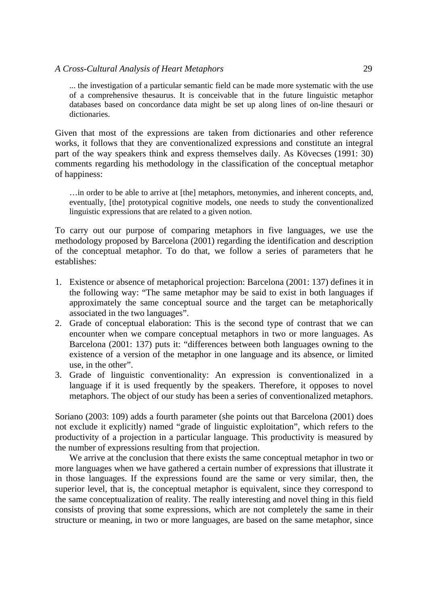... the investigation of a particular semantic field can be made more systematic with the use of a comprehensive thesaurus. It is conceivable that in the future linguistic metaphor databases based on concordance data might be set up along lines of on-line thesauri or dictionaries.

Given that most of the expressions are taken from dictionaries and other reference works, it follows that they are conventionalized expressions and constitute an integral part of the way speakers think and express themselves daily. As Kövecses (1991: 30) comments regarding his methodology in the classification of the conceptual metaphor of happiness:

…in order to be able to arrive at [the] metaphors, metonymies, and inherent concepts, and, eventually, [the] prototypical cognitive models, one needs to study the conventionalized linguistic expressions that are related to a given notion.

To carry out our purpose of comparing metaphors in five languages, we use the methodology proposed by Barcelona (2001) regarding the identification and description of the conceptual metaphor. To do that, we follow a series of parameters that he establishes:

- 1. Existence or absence of metaphorical projection: Barcelona (2001: 137) defines it in the following way: "The same metaphor may be said to exist in both languages if approximately the same conceptual source and the target can be metaphorically associated in the two languages".
- 2. Grade of conceptual elaboration: This is the second type of contrast that we can encounter when we compare conceptual metaphors in two or more languages. As Barcelona (2001: 137) puts it: "differences between both languages owning to the existence of a version of the metaphor in one language and its absence, or limited use, in the other".
- 3. Grade of linguistic conventionality: An expression is conventionalized in a language if it is used frequently by the speakers. Therefore, it opposes to novel metaphors. The object of our study has been a series of conventionalized metaphors.

Soriano (2003: 109) adds a fourth parameter (she points out that Barcelona (2001) does not exclude it explicitly) named "grade of linguistic exploitation", which refers to the productivity of a projection in a particular language. This productivity is measured by the number of expressions resulting from that projection.

We arrive at the conclusion that there exists the same conceptual metaphor in two or more languages when we have gathered a certain number of expressions that illustrate it in those languages. If the expressions found are the same or very similar, then, the superior level, that is, the conceptual metaphor is equivalent, since they correspond to the same conceptualization of reality. The really interesting and novel thing in this field consists of proving that some expressions, which are not completely the same in their structure or meaning, in two or more languages, are based on the same metaphor, since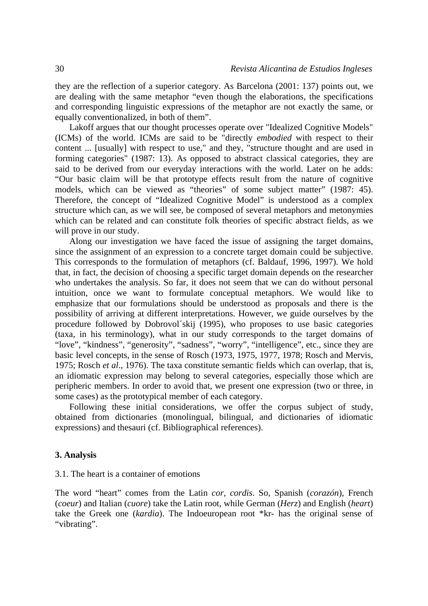they are the reflection of a superior category. As Barcelona (2001: 137) points out, we are dealing with the same metaphor "even though the elaborations, the specifications and corresponding linguistic expressions of the metaphor are not exactly the same, or equally conventionalized, in both of them".

Lakoff argues that our thought processes operate over "Idealized Cognitive Models" (ICMs) of the world. ICMs are said to be "directly *embodied* with respect to their content ... [usually] with respect to use," and they, "structure thought and are used in forming categories" (1987: 13). As opposed to abstract classical categories, they are said to be derived from our everyday interactions with the world. Later on he adds: "Our basic claim will be that prototype effects result from the nature of cognitive models, which can be viewed as "theories" of some subject matter" (1987: 45). Therefore, the concept of "Idealized Cognitive Model" is understood as a complex structure which can, as we will see, be composed of several metaphors and metonymies which can be related and can constitute folk theories of specific abstract fields, as we will prove in our study.

Along our investigation we have faced the issue of assigning the target domains, since the assignment of an expression to a concrete target domain could be subjective. This corresponds to the formulation of metaphors (cf. Baldauf, 1996, 1997). We hold that, in fact, the decision of choosing a specific target domain depends on the researcher who undertakes the analysis. So far, it does not seem that we can do without personal intuition, once we want to formulate conceptual metaphors. We would like to emphasize that our formulations should be understood as proposals and there is the possibility of arriving at different interpretations. However, we guide ourselves by the procedure followed by Dobrovol´skij (1995), who proposes to use basic categories (taxa, in his terminology), what in our study corresponds to the target domains of "love", "kindness", "generosity", "sadness", "worry", "intelligence", etc., since they are basic level concepts, in the sense of Rosch (1973, 1975, 1977, 1978; Rosch and Mervis, 1975; Rosch *et al*., 1976). The taxa constitute semantic fields which can overlap, that is, an idiomatic expression may belong to several categories, especially those which are peripheric members. In order to avoid that, we present one expression (two or three, in some cases) as the prototypical member of each category.

Following these initial considerations, we offer the corpus subject of study, obtained from dictionaries (monolingual, bilingual, and dictionaries of idiomatic expressions) and thesauri (cf. Bibliographical references).

### **3. Analysis**

#### 3.1. The heart is a container of emotions

The word "heart" comes from the Latin *cor, cordis*. So, Spanish (*corazón*), French (*coeur*) and Italian (*cuore*) take the Latin root, while German (*Herz*) and English (*heart*) take the Greek one (*kardia*). The Indoeuropean root \*kr- has the original sense of "vibrating".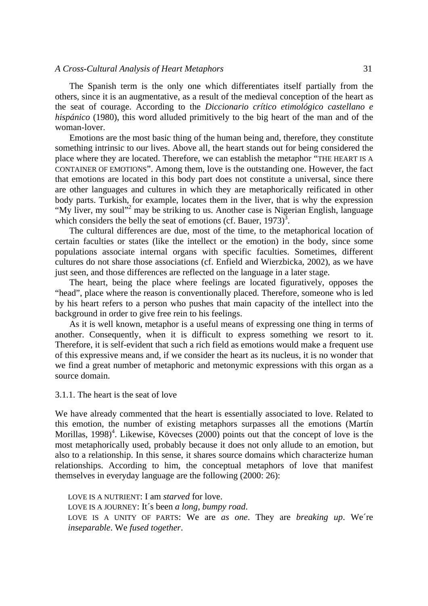#### *A Cross-Cultural Analysis of Heart Metaphors* 31

The Spanish term is the only one which differentiates itself partially from the others, since it is an augmentative, as a result of the medieval conception of the heart as the seat of courage. According to the *Diccionario crítico etimológico castellano e hispánico* (1980), this word alluded primitively to the big heart of the man and of the woman-lover.

Emotions are the most basic thing of the human being and, therefore, they constitute something intrinsic to our lives. Above all, the heart stands out for being considered the place where they are located. Therefore, we can establish the metaphor "THE HEART IS A CONTAINER OF EMOTIONS". Among them, love is the outstanding one. However, the fact that emotions are located in this body part does not constitute a universal, since there are other languages and cultures in which they are metaphorically reificated in other body parts. Turkish, for example, locates them in the liver, that is why the expression "My liver, my soul"<sup>2</sup> may be striking to us. Another case is Nigerian English, language which considers the belly the seat of emotions (cf. Bauer,  $1973$ )<sup>3</sup>.

The cultural differences are due, most of the time, to the metaphorical location of certain faculties or states (like the intellect or the emotion) in the body, since some populations associate internal organs with specific faculties. Sometimes, different cultures do not share those associations (cf. Enfield and Wierzbicka, 2002), as we have just seen, and those differences are reflected on the language in a later stage.

The heart, being the place where feelings are located figuratively, opposes the "head", place where the reason is conventionally placed. Therefore, someone who is led by his heart refers to a person who pushes that main capacity of the intellect into the background in order to give free rein to his feelings.

As it is well known, metaphor is a useful means of expressing one thing in terms of another. Consequently, when it is difficult to express something we resort to it. Therefore, it is self-evident that such a rich field as emotions would make a frequent use of this expressive means and, if we consider the heart as its nucleus, it is no wonder that we find a great number of metaphoric and metonymic expressions with this organ as a source domain.

3.1.1. The heart is the seat of love

We have already commented that the heart is essentially associated to love. Related to this emotion, the number of existing metaphors surpasses all the emotions (Martín Morillas,  $1998$ <sup>4</sup>. Likewise, Kövecses (2000) points out that the concept of love is the most metaphorically used, probably because it does not only allude to an emotion, but also to a relationship. In this sense, it shares source domains which characterize human relationships. According to him, the conceptual metaphors of love that manifest themselves in everyday language are the following (2000: 26):

LOVE IS A NUTRIENT: I am *starved* for love. LOVE IS A JOURNEY: It´s been *a long, bumpy road*. LOVE IS A UNITY OF PARTS: We are *as one*. They are *breaking up*. We´re *inseparable*. We *fused together*.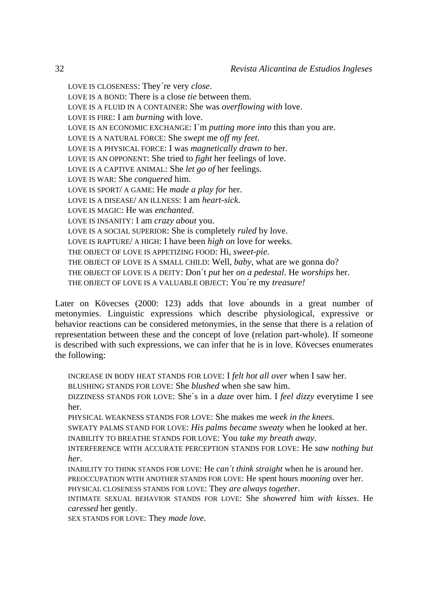LOVE IS CLOSENESS: They´re very *close*. LOVE IS A BOND: There is a close *tie* between them. LOVE IS A FLUID IN A CONTAINER: She was *overflowing with* love. LOVE IS FIRE: I am *burning* with love. LOVE IS AN ECONOMIC EXCHANGE: I´m *putting more into* this than you are. LOVE IS A NATURAL FORCE: She *swept* me *off my feet*. LOVE IS A PHYSICAL FORCE: I was *magnetically drawn to* her. LOVE IS AN OPPONENT: She tried to *fight* her feelings of love. LOVE IS A CAPTIVE ANIMAL: She *let go of* her feelings. LOVE IS WAR: She *conquered* him. LOVE IS SPORT/ A GAME: He *made a play for* her. LOVE IS A DISEASE/ AN ILLNESS: I am *heart-sick*. LOVE IS MAGIC: He was *enchanted*. LOVE IS INSANITY: I am *crazy about* you. LOVE IS A SOCIAL SUPERIOR: She is completely *ruled* by love. LOVE IS RAPTURE/ A HIGH: I have been *high on* love for weeks. THE OBJECT OF LOVE IS APPETIZING FOOD: Hi, *sweet-pie*. THE OBJECT OF LOVE IS A SMALL CHILD: Well, *baby*, what are we gonna do? THE OBJECT OF LOVE IS A DEITY: Don´t *put* her *on a pedestal*. He *worships* her. THE OBJECT OF LOVE IS A VALUABLE OBJECT: You´re my *treasure!* 

Later on Kövecses (2000: 123) adds that love abounds in a great number of metonymies. Linguistic expressions which describe physiological, expressive or behavior reactions can be considered metonymies, in the sense that there is a relation of representation between these and the concept of love (relation part-whole). If someone is described with such expressions, we can infer that he is in love. Kövecses enumerates the following:

INCREASE IN BODY HEAT STANDS FOR LOVE: I *felt hot all over* when I saw her. BLUSHING STANDS FOR LOVE: She *blushed* when she saw him. DIZZINESS STANDS FOR LOVE: She´s in a *daze* over him. I *feel dizzy* everytime I see her. PHYSICAL WEAKNESS STANDS FOR LOVE: She makes me *week in the knees*.

SWEATY PALMS STAND FOR LOVE: *His palms became sweaty* when he looked at her.

INABILITY TO BREATHE STANDS FOR LOVE: You *take my breath away*.

INTERFERENCE WITH ACCURATE PERCEPTION STANDS FOR LOVE: He *saw nothing but her*.

INABILITY TO THINK STANDS FOR LOVE: He *can´t think straight* when he is around her. PREOCCUPATION WITH ANOTHER STANDS FOR LOVE: He spent hours *mooning* over her.

PHYSICAL CLOSENESS STANDS FOR LOVE: They *are always together*. INTIMATE SEXUAL BEHAVIOR STANDS FOR LOVE: She *showered* him *with kisses*. He

*caressed* her gently.

SEX STANDS FOR LOVE: They *made love*.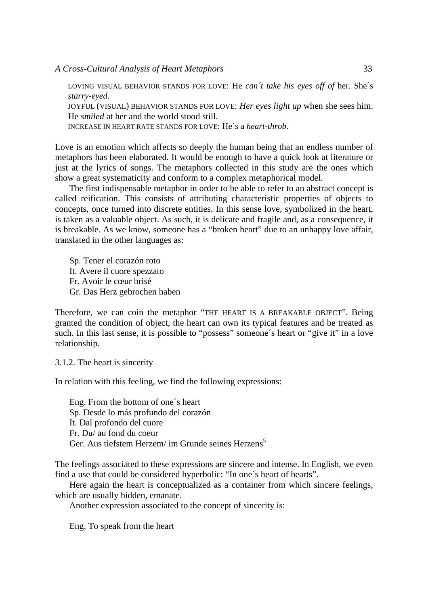LOVING VISUAL BEHAVIOR STANDS FOR LOVE: He *can´t take his eyes off of* her. She´s *starry-eyed*. JOYFUL (VISUAL) BEHAVIOR STANDS FOR LOVE: *Her eyes light up* when she sees him. He *smiled* at her and the world stood still.

INCREASE IN HEART RATE STANDS FOR LOVE: He´s a *heart-throb*.

Love is an emotion which affects so deeply the human being that an endless number of metaphors has been elaborated. It would be enough to have a quick look at literature or just at the lyrics of songs. The metaphors collected in this study are the ones which show a great systematicity and conform to a complex metaphorical model.

The first indispensable metaphor in order to be able to refer to an abstract concept is called reification. This consists of attributing characteristic properties of objects to concepts, once turned into discrete entities. In this sense love, symbolized in the heart, is taken as a valuable object. As such, it is delicate and fragile and, as a consequence, it is breakable. As we know, someone has a "broken heart" due to an unhappy love affair, translated in the other languages as:

Sp. Tener el corazón roto It. Avere il cuore spezzato Fr. Avoir le cœur brisé Gr. Das Herz gebrochen haben

Therefore, we can coin the metaphor "THE HEART IS A BREAKABLE OBJECT". Being granted the condition of object, the heart can own its typical features and be treated as such. In this last sense, it is possible to "possess" someone´s heart or "give it" in a love relationship.

3.1.2. The heart is sincerity

In relation with this feeling, we find the following expressions:

Eng. From the bottom of one´s heart Sp. Desde lo más profundo del corazón It. Dal profondo del cuore Fr. Du/ au fond du coeur Ger. Aus tiefstem Herzem/ im Grunde seines Herzens<sup>5</sup>

The feelings associated to these expressions are sincere and intense. In English, we even find a use that could be considered hyperbolic: "In one´s heart of hearts".

Here again the heart is conceptualized as a container from which sincere feelings, which are usually hidden, emanate.

Another expression associated to the concept of sincerity is:

Eng. To speak from the heart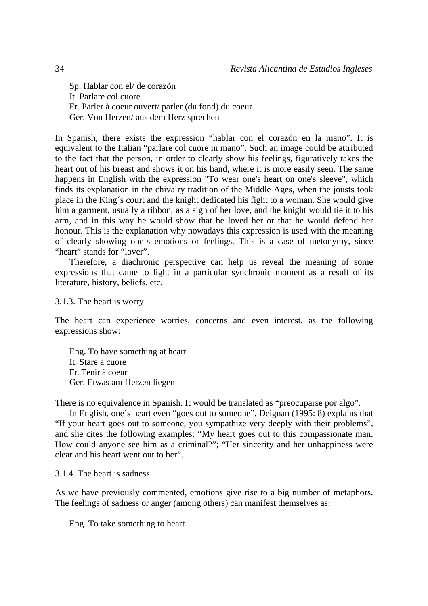Sp. Hablar con el/ de corazón It. Parlare col cuore Fr. Parler à coeur ouvert/ parler (du fond) du coeur Ger. Von Herzen/ aus dem Herz sprechen

In Spanish, there exists the expression "hablar con el corazón en la mano". It is equivalent to the Italian "parlare col cuore in mano". Such an image could be attributed to the fact that the person, in order to clearly show his feelings, figuratively takes the heart out of his breast and shows it on his hand, where it is more easily seen. The same happens in English with the expression "To wear one's heart on one's sleeve", which finds its explanation in the chivalry tradition of the Middle Ages, when the jousts took place in the King´s court and the knight dedicated his fight to a woman. She would give him a garment, usually a ribbon, as a sign of her love, and the knight would tie it to his arm, and in this way he would show that he loved her or that he would defend her honour. This is the explanation why nowadays this expression is used with the meaning of clearly showing one´s emotions or feelings. This is a case of metonymy, since "heart" stands for "lover".

Therefore, a diachronic perspective can help us reveal the meaning of some expressions that came to light in a particular synchronic moment as a result of its literature, history, beliefs, etc.

3.1.3. The heart is worry

The heart can experience worries, concerns and even interest, as the following expressions show:

Eng. To have something at heart It. Stare a cuore Fr. Tenir à coeur Ger. Etwas am Herzen liegen

There is no equivalence in Spanish. It would be translated as "preocuparse por algo".

In English, one´s heart even "goes out to someone". Deignan (1995: 8) explains that "If your heart goes out to someone, you sympathize very deeply with their problems", and she cites the following examples: "My heart goes out to this compassionate man. How could anyone see him as a criminal?"; "Her sincerity and her unhappiness were clear and his heart went out to her".

3.1.4. The heart is sadness

As we have previously commented, emotions give rise to a big number of metaphors. The feelings of sadness or anger (among others) can manifest themselves as:

Eng. To take something to heart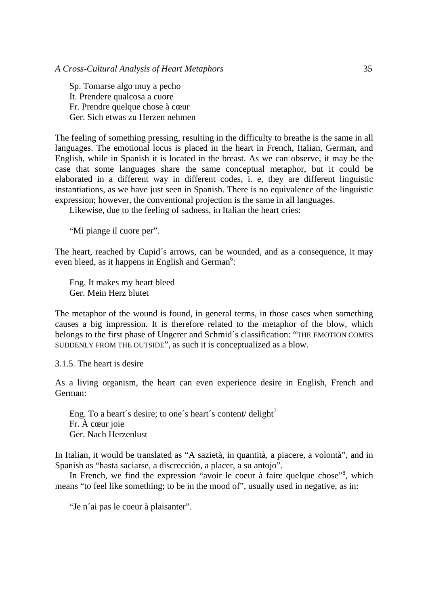Sp. Tomarse algo muy a pecho It. Prendere qualcosa a cuore Fr. Prendre quelque chose à cœur Ger. Sich etwas zu Herzen nehmen

The feeling of something pressing, resulting in the difficulty to breathe is the same in all languages. The emotional locus is placed in the heart in French, Italian, German, and English, while in Spanish it is located in the breast. As we can observe, it may be the case that some languages share the same conceptual metaphor, but it could be elaborated in a different way in different codes, i. e, they are different linguistic instantiations, as we have just seen in Spanish. There is no equivalence of the linguistic expression; however, the conventional projection is the same in all languages.

Likewise, due to the feeling of sadness, in Italian the heart cries:

"Mi piange il cuore per".

The heart, reached by Cupid´s arrows, can be wounded, and as a consequence, it may even bleed, as it happens in English and German<sup>6</sup>:

Eng. It makes my heart bleed Ger. Mein Herz blutet

The metaphor of the wound is found, in general terms, in those cases when something causes a big impression. It is therefore related to the metaphor of the blow, which belongs to the first phase of Ungerer and Schmid´s classification: "THE EMOTION COMES SUDDENLY FROM THE OUTSIDE", as such it is conceptualized as a blow.

3.1.5. The heart is desire

As a living organism, the heart can even experience desire in English, French and German:

Eng. To a heart's desire; to one's heart's content/ delight<sup>7</sup> Fr. À cœur joie Ger. Nach Herzenlust

In Italian, it would be translated as "A sazietà, in quantità, a piacere, a volontà", and in Spanish as "hasta saciarse, a discrección, a placer, a su antojo".

In French, we find the expression "avoir le coeur à faire quelque chose"<sup>8</sup>, which means "to feel like something; to be in the mood of", usually used in negative, as in:

"Je n'ai pas le coeur à plaisanter".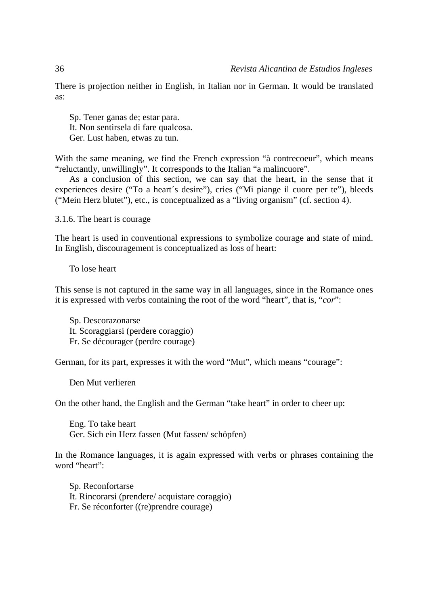There is projection neither in English, in Italian nor in German. It would be translated as:

Sp. Tener ganas de; estar para. It. Non sentirsela di fare qualcosa. Ger. Lust haben, etwas zu tun.

With the same meaning, we find the French expression "à contrecoeur", which means "reluctantly, unwillingly". It corresponds to the Italian "a malincuore".

As a conclusion of this section, we can say that the heart, in the sense that it experiences desire ("To a heart´s desire"), cries ("Mi piange il cuore per te"), bleeds ("Mein Herz blutet"), etc., is conceptualized as a "living organism" (cf. section 4).

3.1.6. The heart is courage

The heart is used in conventional expressions to symbolize courage and state of mind. In English, discouragement is conceptualized as loss of heart:

To lose heart

This sense is not captured in the same way in all languages, since in the Romance ones it is expressed with verbs containing the root of the word "heart", that is, "*cor*":

Sp. Descorazonarse It. Scoraggiarsi (perdere coraggio) Fr. Se décourager (perdre courage)

German, for its part, expresses it with the word "Mut", which means "courage":

Den Mut verlieren

On the other hand, the English and the German "take heart" in order to cheer up:

Eng. To take heart Ger. Sich ein Herz fassen (Mut fassen/ schöpfen)

In the Romance languages, it is again expressed with verbs or phrases containing the word "heart":

Sp. Reconfortarse It. Rincorarsi (prendere/ acquistare coraggio) Fr. Se réconforter ((re)prendre courage)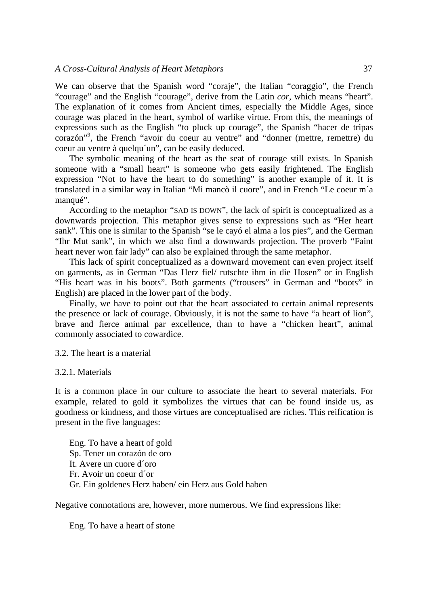We can observe that the Spanish word "coraje", the Italian "coraggio", the French "courage" and the English "courage", derive from the Latin *cor*, which means "heart". The explanation of it comes from Ancient times, especially the Middle Ages, since courage was placed in the heart, symbol of warlike virtue. From this, the meanings of expressions such as the English "to pluck up courage", the Spanish "hacer de tripas corazón"9 , the French "avoir du coeur au ventre" and "donner (mettre, remettre) du coeur au ventre à quelqu´un", can be easily deduced.

The symbolic meaning of the heart as the seat of courage still exists. In Spanish someone with a "small heart" is someone who gets easily frightened. The English expression "Not to have the heart to do something" is another example of it. It is translated in a similar way in Italian "Mi mancò il cuore", and in French "Le coeur m´a manqué".

According to the metaphor "SAD IS DOWN", the lack of spirit is conceptualized as a downwards projection. This metaphor gives sense to expressions such as "Her heart sank". This one is similar to the Spanish "se le cayó el alma a los pies", and the German "Ihr Mut sank", in which we also find a downwards projection. The proverb "Faint heart never won fair lady" can also be explained through the same metaphor.

This lack of spirit conceptualized as a downward movement can even project itself on garments, as in German "Das Herz fiel/ rutschte ihm in die Hosen" or in English "His heart was in his boots". Both garments ("trousers" in German and "boots" in English) are placed in the lower part of the body.

Finally, we have to point out that the heart associated to certain animal represents the presence or lack of courage. Obviously, it is not the same to have "a heart of lion", brave and fierce animal par excellence, than to have a "chicken heart", animal commonly associated to cowardice.

3.2. The heart is a material

3.2.1. Materials

It is a common place in our culture to associate the heart to several materials. For example, related to gold it symbolizes the virtues that can be found inside us, as goodness or kindness, and those virtues are conceptualised are riches. This reification is present in the five languages:

Eng. To have a heart of gold Sp. Tener un corazón de oro It. Avere un cuore d´oro Fr. Avoir un coeur d´or Gr. Ein goldenes Herz haben/ ein Herz aus Gold haben

Negative connotations are, however, more numerous. We find expressions like:

Eng. To have a heart of stone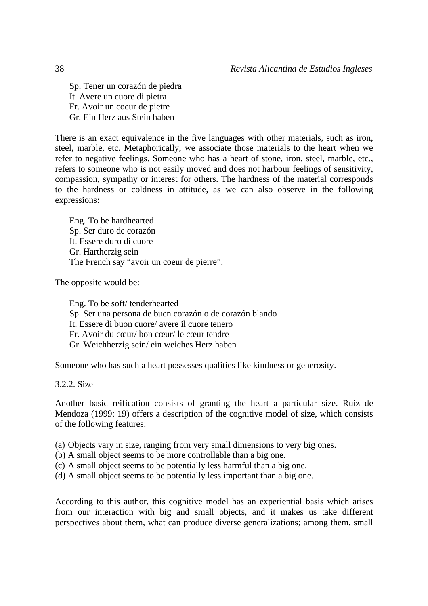Sp. Tener un corazón de piedra It. Avere un cuore di pietra Fr. Avoir un coeur de pietre Gr. Ein Herz aus Stein haben

There is an exact equivalence in the five languages with other materials, such as iron, steel, marble, etc. Metaphorically, we associate those materials to the heart when we refer to negative feelings. Someone who has a heart of stone, iron, steel, marble, etc., refers to someone who is not easily moved and does not harbour feelings of sensitivity, compassion, sympathy or interest for others. The hardness of the material corresponds to the hardness or coldness in attitude, as we can also observe in the following expressions:

Eng. To be hardhearted Sp. Ser duro de corazón It. Essere duro di cuore Gr. Hartherzig sein The French say "avoir un coeur de pierre".

The opposite would be:

Eng. To be soft/ tenderhearted Sp. Ser una persona de buen corazón o de corazón blando It. Essere di buon cuore/ avere il cuore tenero Fr. Avoir du cœur/ bon cœur/ le cœur tendre Gr. Weichherzig sein/ ein weiches Herz haben

Someone who has such a heart possesses qualities like kindness or generosity.

3.2.2. Size

Another basic reification consists of granting the heart a particular size. Ruiz de Mendoza (1999: 19) offers a description of the cognitive model of size, which consists of the following features:

(a) Objects vary in size, ranging from very small dimensions to very big ones.

- (b) A small object seems to be more controllable than a big one.
- (c) A small object seems to be potentially less harmful than a big one.
- (d) A small object seems to be potentially less important than a big one.

According to this author, this cognitive model has an experiential basis which arises from our interaction with big and small objects, and it makes us take different perspectives about them, what can produce diverse generalizations; among them, small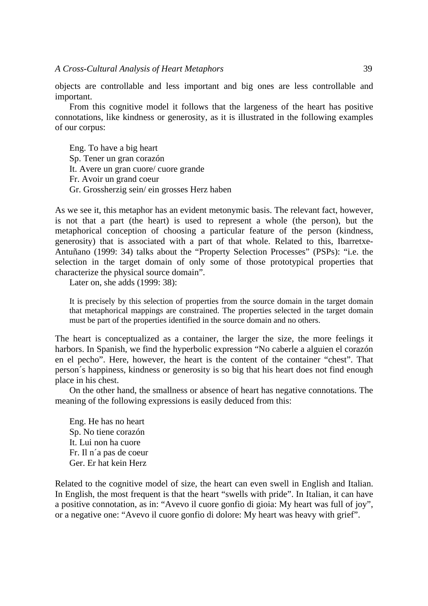### *A Cross-Cultural Analysis of Heart Metaphors* 39

objects are controllable and less important and big ones are less controllable and important.

From this cognitive model it follows that the largeness of the heart has positive connotations, like kindness or generosity, as it is illustrated in the following examples of our corpus:

Eng. To have a big heart Sp. Tener un gran corazón It. Avere un gran cuore/ cuore grande Fr. Avoir un grand coeur Gr. Grossherzig sein/ ein grosses Herz haben

As we see it, this metaphor has an evident metonymic basis. The relevant fact, however, is not that a part (the heart) is used to represent a whole (the person), but the metaphorical conception of choosing a particular feature of the person (kindness, generosity) that is associated with a part of that whole. Related to this, Ibarretxe-Antuñano (1999: 34) talks about the "Property Selection Processes" (PSPs): "i.e. the selection in the target domain of only some of those prototypical properties that characterize the physical source domain".

Later on, she adds (1999: 38):

It is precisely by this selection of properties from the source domain in the target domain that metaphorical mappings are constrained. The properties selected in the target domain must be part of the properties identified in the source domain and no others.

The heart is conceptualized as a container, the larger the size, the more feelings it harbors. In Spanish, we find the hyperbolic expression "No caberle a alguien el corazón en el pecho". Here, however, the heart is the content of the container "chest". That person´s happiness, kindness or generosity is so big that his heart does not find enough place in his chest.

On the other hand, the smallness or absence of heart has negative connotations. The meaning of the following expressions is easily deduced from this:

Eng. He has no heart Sp. No tiene corazón It. Lui non ha cuore Fr. Il n´a pas de coeur Ger. Er hat kein Herz

Related to the cognitive model of size, the heart can even swell in English and Italian. In English, the most frequent is that the heart "swells with pride". In Italian, it can have a positive connotation, as in: "Avevo il cuore gonfio di gioia: My heart was full of joy", or a negative one: "Avevo il cuore gonfio di dolore: My heart was heavy with grief".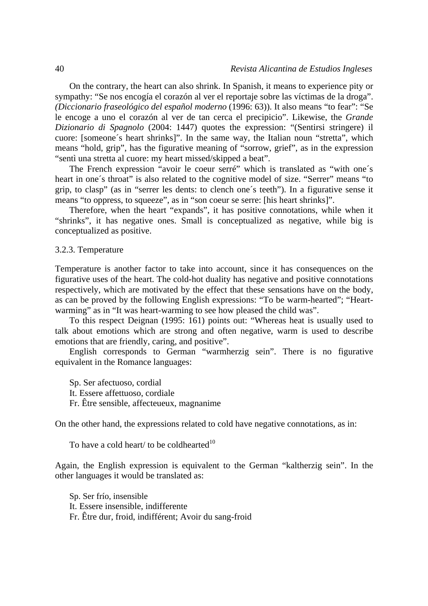On the contrary, the heart can also shrink. In Spanish, it means to experience pity or sympathy: "Se nos encogía el corazón al ver el reportaje sobre las víctimas de la droga". *(Diccionario fraseológico del español moderno* (1996: 63)). It also means "to fear": "Se le encoge a uno el corazón al ver de tan cerca el precipicio". Likewise, the *Grande Dizionario di Spagnolo* (2004: 1447) quotes the expression: "(Sentirsi stringere) il cuore: [someone´s heart shrinks]". In the same way, the Italian noun "stretta", which means "hold, grip", has the figurative meaning of "sorrow, grief", as in the expression "sentì una stretta al cuore: my heart missed/skipped a beat".

The French expression "avoir le coeur serré" which is translated as "with one´s heart in one's throat" is also related to the cognitive model of size. "Serrer" means "to grip, to clasp" (as in "serrer les dents: to clench one´s teeth"). In a figurative sense it means "to oppress, to squeeze", as in "son coeur se serre: [his heart shrinks]".

Therefore, when the heart "expands", it has positive connotations, while when it "shrinks", it has negative ones. Small is conceptualized as negative, while big is conceptualized as positive.

#### 3.2.3. Temperature

Temperature is another factor to take into account, since it has consequences on the figurative uses of the heart. The cold-hot duality has negative and positive connotations respectively, which are motivated by the effect that these sensations have on the body, as can be proved by the following English expressions: "To be warm-hearted"; "Heartwarming" as in "It was heart-warming to see how pleased the child was".

To this respect Deignan (1995: 161) points out: "Whereas heat is usually used to talk about emotions which are strong and often negative, warm is used to describe emotions that are friendly, caring, and positive".

English corresponds to German "warmherzig sein". There is no figurative equivalent in the Romance languages:

Sp. Ser afectuoso, cordial It. Essere affettuoso, cordiale Fr. Être sensible, affecteueux, magnanime

On the other hand, the expressions related to cold have negative connotations, as in:

To have a cold heart/ to be coldhearted $10$ 

Again, the English expression is equivalent to the German "kaltherzig sein". In the other languages it would be translated as:

Sp. Ser frío, insensible It. Essere insensible, indifferente Fr. Être dur, froid, indifférent; Avoir du sang-froid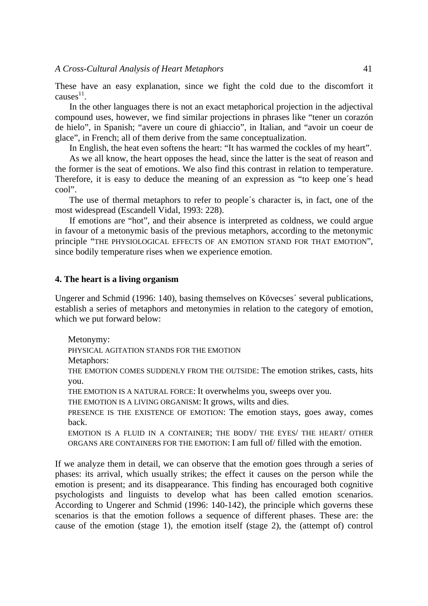These have an easy explanation, since we fight the cold due to the discomfort it causes $^{11}$ .

In the other languages there is not an exact metaphorical projection in the adjectival compound uses, however, we find similar projections in phrases like "tener un corazón de hielo", in Spanish; "avere un coure di ghiaccio", in Italian, and "avoir un coeur de glace", in French; all of them derive from the same conceptualization.

In English, the heat even softens the heart: "It has warmed the cockles of my heart".

As we all know, the heart opposes the head, since the latter is the seat of reason and the former is the seat of emotions. We also find this contrast in relation to temperature. Therefore, it is easy to deduce the meaning of an expression as "to keep one´s head cool".

The use of thermal metaphors to refer to people´s character is, in fact, one of the most widespread (Escandell Vidal, 1993: 228).

If emotions are "hot", and their absence is interpreted as coldness, we could argue in favour of a metonymic basis of the previous metaphors, according to the metonymic principle "THE PHYSIOLOGICAL EFFECTS OF AN EMOTION STAND FOR THAT EMOTION", since bodily temperature rises when we experience emotion.

### **4. The heart is a living organism**

Ungerer and Schmid (1996: 140), basing themselves on Kövecses´ several publications, establish a series of metaphors and metonymies in relation to the category of emotion, which we put forward below:

Metonymy: PHYSICAL AGITATION STANDS FOR THE EMOTION Metaphors: THE EMOTION COMES SUDDENLY FROM THE OUTSIDE: The emotion strikes, casts, hits you. THE EMOTION IS A NATURAL FORCE: It overwhelms you, sweeps over you. THE EMOTION IS A LIVING ORGANISM: It grows, wilts and dies. PRESENCE IS THE EXISTENCE OF EMOTION: The emotion stays, goes away, comes back. EMOTION IS A FLUID IN A CONTAINER; THE BODY/ THE EYES/ THE HEART/ OTHER ORGANS ARE CONTAINERS FOR THE EMOTION: I am full of/ filled with the emotion.

If we analyze them in detail, we can observe that the emotion goes through a series of phases: its arrival, which usually strikes; the effect it causes on the person while the emotion is present; and its disappearance. This finding has encouraged both cognitive psychologists and linguists to develop what has been called emotion scenarios. According to Ungerer and Schmid (1996: 140-142), the principle which governs these scenarios is that the emotion follows a sequence of different phases. These are: the cause of the emotion (stage 1), the emotion itself (stage 2), the (attempt of) control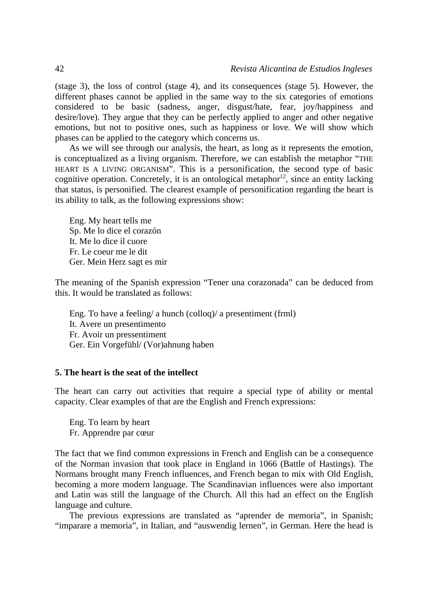(stage 3), the loss of control (stage 4), and its consequences (stage 5). However, the different phases cannot be applied in the same way to the six categories of emotions considered to be basic (sadness, anger, disgust/hate, fear, joy/happiness and desire/love). They argue that they can be perfectly applied to anger and other negative emotions, but not to positive ones, such as happiness or love. We will show which phases can be applied to the category which concerns us.

As we will see through our analysis, the heart, as long as it represents the emotion, is conceptualized as a living organism. Therefore, we can establish the metaphor "THE HEART IS A LIVING ORGANISM". This is a personification, the second type of basic cognitive operation. Concretely, it is an ontological metaphor<sup>12</sup>, since an entity lacking that status, is personified. The clearest example of personification regarding the heart is its ability to talk, as the following expressions show:

Eng. My heart tells me Sp. Me lo dice el corazón It. Me lo dice il cuore Fr. Le coeur me le dit Ger. Mein Herz sagt es mir

The meaning of the Spanish expression "Tener una corazonada" can be deduced from this. It would be translated as follows:

Eng. To have a feeling/ a hunch (colloq)/ a presentiment (frml) It. Avere un presentimento Fr. Avoir un pressentiment Ger. Ein Vorgefühl/ (Vor)ahnung haben

### **5. The heart is the seat of the intellect**

The heart can carry out activities that require a special type of ability or mental capacity. Clear examples of that are the English and French expressions:

Eng. To learn by heart Fr. Apprendre par cœur

The fact that we find common expressions in French and English can be a consequence of the Norman invasion that took place in England in 1066 (Battle of Hastings). The Normans brought many French influences, and French began to mix with Old English, becoming a more modern language. The Scandinavian influences were also important and Latin was still the language of the Church. All this had an effect on the English language and culture.

The previous expressions are translated as "aprender de memoria", in Spanish; "imparare a memoria", in Italian, and "auswendig lernen", in German. Here the head is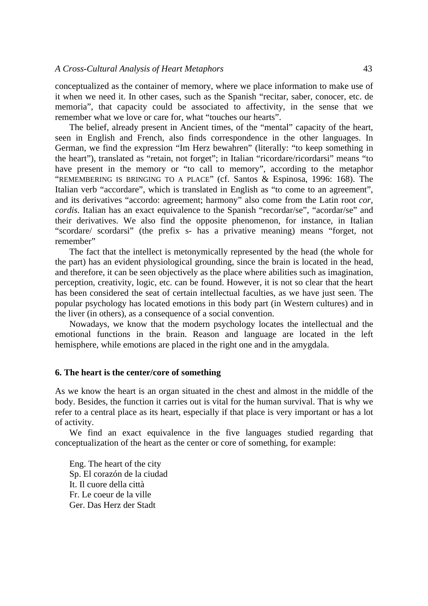conceptualized as the container of memory, where we place information to make use of it when we need it. In other cases, such as the Spanish "recitar, saber, conocer, etc. de memoria", that capacity could be associated to affectivity, in the sense that we remember what we love or care for, what "touches our hearts".

The belief, already present in Ancient times, of the "mental" capacity of the heart, seen in English and French, also finds correspondence in the other languages. In German, we find the expression "Im Herz bewahren" (literally: "to keep something in the heart"), translated as "retain, not forget"; in Italian "ricordare/ricordarsi" means "to have present in the memory or "to call to memory", according to the metaphor "REMEMBERING IS BRINGING TO A PLACE" (cf. Santos & Espinosa, 1996: 168). The Italian verb "accordare", which is translated in English as "to come to an agreement", and its derivatives "accordo: agreement; harmony" also come from the Latin root *cor, cordis*. Italian has an exact equivalence to the Spanish "recordar/se", "acordar/se" and their derivatives. We also find the opposite phenomenon, for instance, in Italian "scordare/ scordarsi" (the prefix s- has a privative meaning) means "forget, not remember"

The fact that the intellect is metonymically represented by the head (the whole for the part) has an evident physiological grounding, since the brain is located in the head, and therefore, it can be seen objectively as the place where abilities such as imagination, perception, creativity, logic, etc. can be found. However, it is not so clear that the heart has been considered the seat of certain intellectual faculties, as we have just seen. The popular psychology has located emotions in this body part (in Western cultures) and in the liver (in others), as a consequence of a social convention.

Nowadays, we know that the modern psychology locates the intellectual and the emotional functions in the brain. Reason and language are located in the left hemisphere, while emotions are placed in the right one and in the amygdala.

### **6. The heart is the center/core of something**

As we know the heart is an organ situated in the chest and almost in the middle of the body. Besides, the function it carries out is vital for the human survival. That is why we refer to a central place as its heart, especially if that place is very important or has a lot of activity.

We find an exact equivalence in the five languages studied regarding that conceptualization of the heart as the center or core of something, for example:

Eng. The heart of the city Sp. El corazón de la ciudad It. Il cuore della città Fr. Le coeur de la ville Ger. Das Herz der Stadt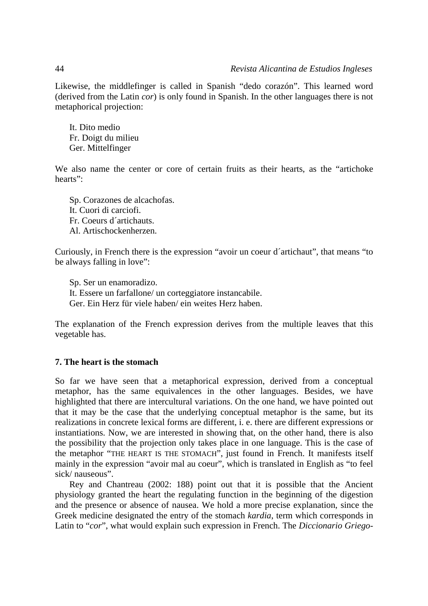Likewise, the middlefinger is called in Spanish "dedo corazón". This learned word (derived from the Latin *cor*) is only found in Spanish. In the other languages there is not metaphorical projection:

It. Dito medio Fr. Doigt du milieu Ger. Mittelfinger

We also name the center or core of certain fruits as their hearts, as the "artichoke" hearts":

Sp. Corazones de alcachofas. It. Cuori di carciofi. Fr. Coeurs d´artichauts. Al. Artischockenherzen.

Curiously, in French there is the expression "avoir un coeur d´artichaut", that means "to be always falling in love":

Sp. Ser un enamoradizo. It. Essere un farfallone/ un corteggiatore instancabile. Ger. Ein Herz für viele haben/ ein weites Herz haben.

The explanation of the French expression derives from the multiple leaves that this vegetable has.

# **7. The heart is the stomach**

So far we have seen that a metaphorical expression, derived from a conceptual metaphor, has the same equivalences in the other languages. Besides, we have highlighted that there are intercultural variations. On the one hand, we have pointed out that it may be the case that the underlying conceptual metaphor is the same, but its realizations in concrete lexical forms are different, i. e. there are different expressions or instantiations. Now, we are interested in showing that, on the other hand, there is also the possibility that the projection only takes place in one language. This is the case of the metaphor "THE HEART IS THE STOMACH", just found in French. It manifests itself mainly in the expression "avoir mal au coeur", which is translated in English as "to feel sick/ nauseous".

Rey and Chantreau (2002: 188) point out that it is possible that the Ancient physiology granted the heart the regulating function in the beginning of the digestion and the presence or absence of nausea. We hold a more precise explanation, since the Greek medicine designated the entry of the stomach *kardia*, term which corresponds in Latin to "*cor*", what would explain such expression in French. The *Diccionario Griego-*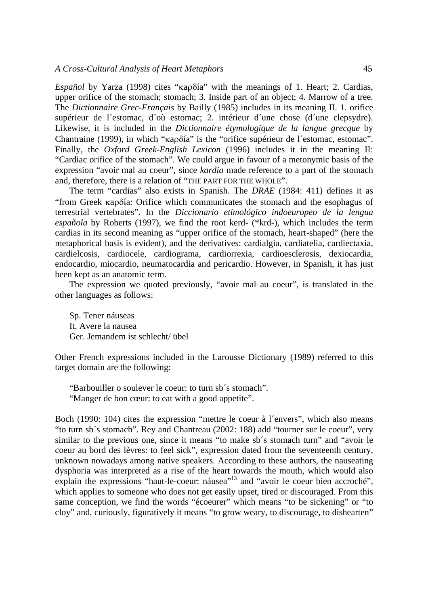#### *A Cross-Cultural Analysis of Heart Metaphors* 45

*Español* by Yarza (1998) cites "κaρδía" with the meanings of 1. Heart; 2. Cardias, upper orifice of the stomach; stomach; 3. Inside part of an object; 4. Marrow of a tree. The *Dictionnaire Grec-Français* by Bailly (1985) includes in its meaning II. 1. orifice supérieur de l´estomac, d´où estomac; 2. intérieur d´une chose (d´une clepsydre). Likewise, it is included in the *Dictionnaire étymologique de la langue grecque* by Chantraine (1999), in which "κaρδía" is the "orifice supérieur de l´estomac, estomac". Finally, the *Oxford Greek-English Lexicon* (1996) includes it in the meaning II: "Cardiac orifice of the stomach". We could argue in favour of a metonymic basis of the expression "avoir mal au coeur", since *kardia* made reference to a part of the stomach and, therefore, there is a relation of "THE PART FOR THE WHOLE".

The term "cardias" also exists in Spanish. The *DRAE* (1984: 411) defines it as "from Greek κaρδía: Orifice which communicates the stomach and the esophagus of terrestrial vertebrates". In the *Diccionario etimológico indoeuropeo de la lengua española* by Roberts (1997), we find the root kerd- (\*krd-), which includes the term cardias in its second meaning as "upper orifice of the stomach, heart-shaped" (here the metaphorical basis is evident), and the derivatives: cardialgia, cardiatelia, cardiectaxia, cardielcosis, cardiocele, cardiograma, cardiorrexia, cardioesclerosis, dexiocardia, endocardio, miocardio, neumatocardia and pericardio. However, in Spanish, it has just been kept as an anatomic term.

The expression we quoted previously, "avoir mal au coeur", is translated in the other languages as follows:

Sp. Tener náuseas It. Avere la nausea Ger. Jemandem ist schlecht/ übel

Other French expressions included in the Larousse Dictionary (1989) referred to this target domain are the following:

"Barbouiller o soulever le coeur: to turn sb´s stomach". "Manger de bon cœur: to eat with a good appetite".

Boch (1990: 104) cites the expression "mettre le coeur à l´envers", which also means "to turn sb´s stomach". Rey and Chantreau (2002: 188) add "tourner sur le coeur", very similar to the previous one, since it means "to make sb´s stomach turn" and "avoir le coeur au bord des lèvres: to feel sick", expression dated from the seventeenth century, unknown nowadays among native speakers. According to these authors, the nauseating dysphoria was interpreted as a rise of the heart towards the mouth, which would also explain the expressions "haut-le-coeur: náusea"<sup>13</sup> and "avoir le coeur bien accroché", which applies to someone who does not get easily upset, tired or discouraged. From this same conception, we find the words "écoeurer" which means "to be sickening" or "to cloy" and, curiously, figuratively it means "to grow weary, to discourage, to dishearten"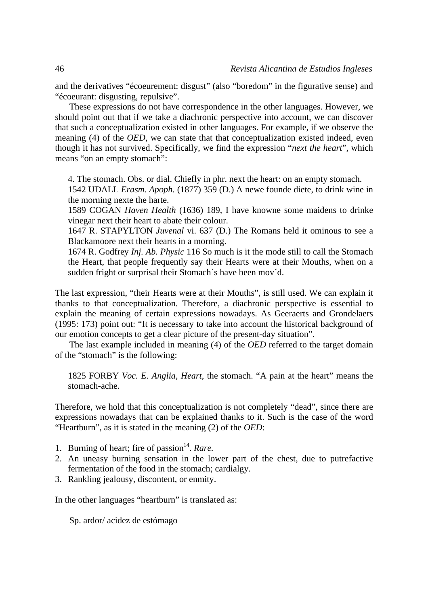and the derivatives "écoeurement: disgust" (also "boredom" in the figurative sense) and "écoeurant: disgusting, repulsive".

These expressions do not have correspondence in the other languages. However, we should point out that if we take a diachronic perspective into account, we can discover that such a conceptualization existed in other languages. For example, if we observe the meaning (4) of the *OED*, we can state that that conceptualization existed indeed, even though it has not survived. Specifically, we find the expression "*next the heart*", which means "on an empty stomach":

4. The stomach. Obs. or dial. Chiefly in phr. next the heart: on an empty stomach.

1542 UDALL *Erasm. Apoph.* (1877) 359 (D.) A newe founde diete, to drink wine in the morning nexte the harte.

1589 COGAN *Haven Health* (1636) 189, I have knowne some maidens to drinke vinegar next their heart to abate their colour.

1647 R. STAPYLTON *Juvenal* vi. 637 (D.) The Romans held it ominous to see a Blackamoore next their hearts in a morning.

1674 R. Godfrey *Inj. Ab. Physic* 116 So much is it the mode still to call the Stomach the Heart, that people frequently say their Hearts were at their Mouths, when on a sudden fright or surprisal their Stomach's have been mov'd.

The last expression, "their Hearts were at their Mouths", is still used. We can explain it thanks to that conceptualization. Therefore, a diachronic perspective is essential to explain the meaning of certain expressions nowadays. As Geeraerts and Grondelaers (1995: 173) point out: "It is necessary to take into account the historical background of our emotion concepts to get a clear picture of the present-day situation".

The last example included in meaning (4) of the *OED* referred to the target domain of the "stomach" is the following:

1825 FORBY *Voc. E. Anglia, Heart*, the stomach. "A pain at the heart" means the stomach-ache.

Therefore, we hold that this conceptualization is not completely "dead", since there are expressions nowadays that can be explained thanks to it. Such is the case of the word "Heartburn", as it is stated in the meaning (2) of the *OED*:

- 1. Burning of heart; fire of passion<sup>14</sup>. *Rare.*
- 2. An uneasy burning sensation in the lower part of the chest, due to putrefactive fermentation of the food in the stomach; cardialgy.
- 3. Rankling jealousy, discontent, or enmity.

In the other languages "heartburn" is translated as:

Sp. ardor/ acidez de estómago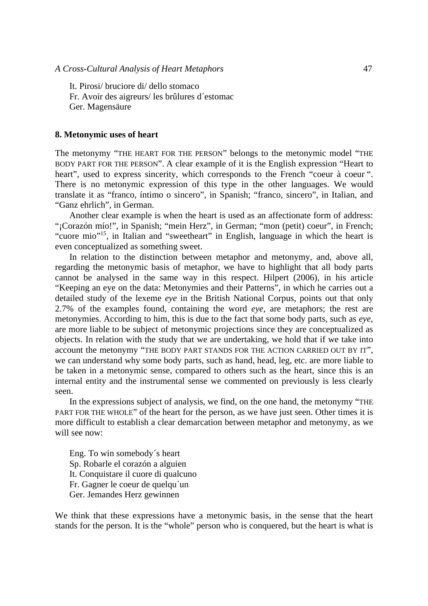It. Pirosi/ bruciore di/ dello stomaco Fr. Avoir des aigreurs/ les brûlures d´estomac Ger. Magensäure

#### **8. Metonymic uses of heart**

The metonymy "THE HEART FOR THE PERSON" belongs to the metonymic model "THE BODY PART FOR THE PERSON". A clear example of it is the English expression "Heart to heart", used to express sincerity, which corresponds to the French "coeur à coeur ". There is no metonymic expression of this type in the other languages. We would translate it as "franco, íntimo o sincero", in Spanish; "franco, sincero", in Italian, and "Ganz ehrlich", in German.

Another clear example is when the heart is used as an affectionate form of address: "¡Corazón mío!", in Spanish; "mein Herz", in German; "mon (petit) coeur", in French; "cuore mio"15, in Italian and "sweetheart" in English, language in which the heart is even conceptualized as something sweet.

In relation to the distinction between metaphor and metonymy, and, above all, regarding the metonymic basis of metaphor, we have to highlight that all body parts cannot be analysed in the same way in this respect. Hilpert (2006), in his article "Keeping an eye on the data: Metonymies and their Patterns", in which he carries out a detailed study of the lexeme *eye* in the British National Corpus, points out that only 2.7% of the examples found, containing the word *eye,* are metaphors; the rest are metonymies. According to him, this is due to the fact that some body parts, such as *eye*, are more liable to be subject of metonymic projections since they are conceptualized as objects. In relation with the study that we are undertaking, we hold that if we take into account the metonymy "THE BODY PART STANDS FOR THE ACTION CARRIED OUT BY IT", we can understand why some body parts, such as hand, head, leg, etc. are more liable to be taken in a metonymic sense, compared to others such as the heart, since this is an internal entity and the instrumental sense we commented on previously is less clearly seen.

In the expressions subject of analysis, we find, on the one hand, the metonymy "THE PART FOR THE WHOLE" of the heart for the person, as we have just seen. Other times it is more difficult to establish a clear demarcation between metaphor and metonymy, as we will see now.

Eng. To win somebody´s heart Sp. Robarle el corazón a alguien It. Conquistare il cuore di qualcuno Fr. Gagner le coeur de quelqu´un Ger. Jemandes Herz gewinnen

We think that these expressions have a metonymic basis, in the sense that the heart stands for the person. It is the "whole" person who is conquered, but the heart is what is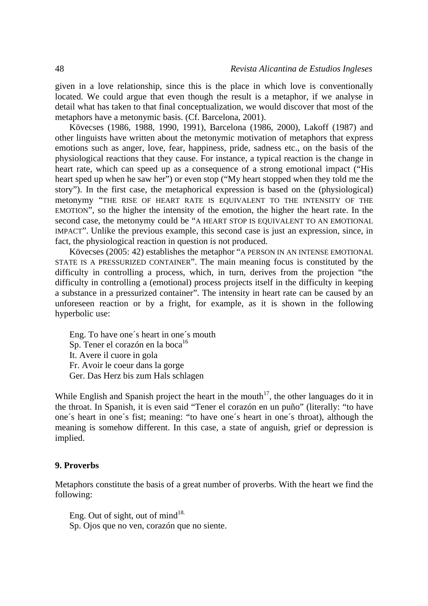given in a love relationship, since this is the place in which love is conventionally located. We could argue that even though the result is a metaphor, if we analyse in detail what has taken to that final conceptualization, we would discover that most of the metaphors have a metonymic basis. (Cf. Barcelona, 2001).

Kövecses (1986, 1988, 1990, 1991), Barcelona (1986, 2000), Lakoff (1987) and other linguists have written about the metonymic motivation of metaphors that express emotions such as anger, love, fear, happiness, pride, sadness etc., on the basis of the physiological reactions that they cause. For instance, a typical reaction is the change in heart rate, which can speed up as a consequence of a strong emotional impact ("His heart sped up when he saw her") or even stop ("My heart stopped when they told me the story"). In the first case, the metaphorical expression is based on the (physiological) metonymy "THE RISE OF HEART RATE IS EQUIVALENT TO THE INTENSITY OF THE EMOTION", so the higher the intensity of the emotion, the higher the heart rate. In the second case, the metonymy could be "A HEART STOP IS EQUIVALENT TO AN EMOTIONAL IMPACT". Unlike the previous example, this second case is just an expression, since, in fact, the physiological reaction in question is not produced.

Kövecses (2005: 42) establishes the metaphor "A PERSON IN AN INTENSE EMOTIONAL STATE IS A PRESSURIZED CONTAINER". The main meaning focus is constituted by the difficulty in controlling a process, which, in turn, derives from the projection "the difficulty in controlling a (emotional) process projects itself in the difficulty in keeping a substance in a pressurized container". The intensity in heart rate can be caused by an unforeseen reaction or by a fright, for example, as it is shown in the following hyperbolic use:

Eng. To have one´s heart in one´s mouth Sp. Tener el corazón en la boca<sup>16</sup> It. Avere il cuore in gola Fr. Avoir le coeur dans la gorge Ger. Das Herz bis zum Hals schlagen

While English and Spanish project the heart in the mouth<sup>17</sup>, the other languages do it in the throat. In Spanish, it is even said "Tener el corazón en un puño" (literally: "to have one´s heart in one´s fist; meaning: "to have one´s heart in one´s throat), although the meaning is somehow different. In this case, a state of anguish, grief or depression is implied.

### **9. Proverbs**

Metaphors constitute the basis of a great number of proverbs. With the heart we find the following:

Eng. Out of sight, out of mind $18$ . Sp. Ojos que no ven, corazón que no siente.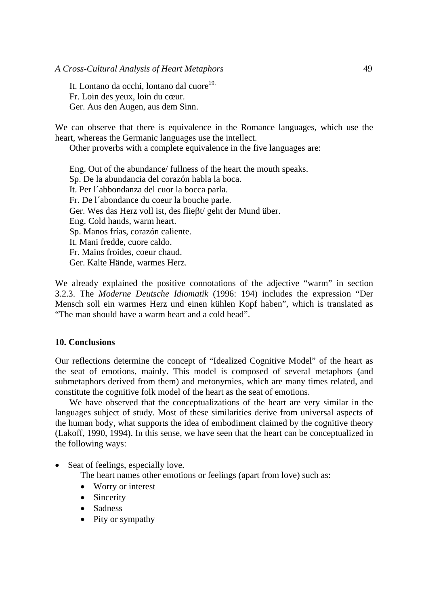### *A Cross-Cultural Analysis of Heart Metaphors* 49

It. Lontano da occhi, lontano dal cuore<sup>19.</sup> Fr. Loin des yeux, loin du cœur. Ger. Aus den Augen, aus dem Sinn.

We can observe that there is equivalence in the Romance languages, which use the heart, whereas the Germanic languages use the intellect.

Other proverbs with a complete equivalence in the five languages are:

Eng. Out of the abundance/ fullness of the heart the mouth speaks. Sp. De la abundancia del corazón habla la boca. It. Per l´abbondanza del cuor la bocca parla. Fr. De l´abondance du coeur la bouche parle. Ger. Wes das Herz voll ist, des flieβt/ geht der Mund über. Eng. Cold hands, warm heart. Sp. Manos frías, corazón caliente. It. Mani fredde, cuore caldo. Fr. Mains froides, coeur chaud. Ger. Kalte Hände, warmes Herz.

We already explained the positive connotations of the adjective "warm" in section 3.2.3. The *Moderne Deutsche Idiomatik* (1996: 194) includes the expression "Der Mensch soll ein warmes Herz und einen kühlen Kopf haben", which is translated as "The man should have a warm heart and a cold head".

### **10. Conclusions**

Our reflections determine the concept of "Idealized Cognitive Model" of the heart as the seat of emotions, mainly. This model is composed of several metaphors (and submetaphors derived from them) and metonymies, which are many times related, and constitute the cognitive folk model of the heart as the seat of emotions.

We have observed that the conceptualizations of the heart are very similar in the languages subject of study. Most of these similarities derive from universal aspects of the human body, what supports the idea of embodiment claimed by the cognitive theory (Lakoff, 1990, 1994). In this sense, we have seen that the heart can be conceptualized in the following ways:

Seat of feelings, especially love.

The heart names other emotions or feelings (apart from love) such as:

- Worry or interest
- Sincerity
- Sadness
- Pity or sympathy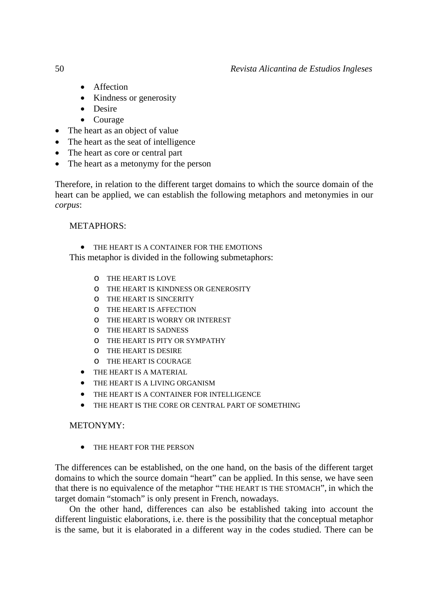- Affection
- Kindness or generosity
- Desire
- Courage
- The heart as an object of value
- The heart as the seat of intelligence
- The heart as core or central part
- The heart as a metonymy for the person

Therefore, in relation to the different target domains to which the source domain of the heart can be applied, we can establish the following metaphors and metonymies in our *corpus*:

# METAPHORS:

THE HEART IS A CONTAINER FOR THE EMOTIONS

This metaphor is divided in the following submetaphors:

- o THE HEART IS LOVE
- o THE HEART IS KINDNESS OR GENEROSITY
- o THE HEART IS SINCERITY
- o THE HEART IS AFFECTION
- o THE HEART IS WORRY OR INTEREST
- o THE HEART IS SADNESS
- o THE HEART IS PITY OR SYMPATHY
- o THE HEART IS DESIRE
- o THE HEART IS COURAGE
- THE HEART IS A MATERIAL
- THE HEART IS A LIVING ORGANISM
- THE HEART IS A CONTAINER FOR INTELLIGENCE
- THE HEART IS THE CORE OR CENTRAL PART OF SOMETHING

# METONYMY:

• THE HEART FOR THE PERSON

The differences can be established, on the one hand, on the basis of the different target domains to which the source domain "heart" can be applied. In this sense, we have seen that there is no equivalence of the metaphor "THE HEART IS THE STOMACH", in which the target domain "stomach" is only present in French, nowadays.

On the other hand, differences can also be established taking into account the different linguistic elaborations, i.e. there is the possibility that the conceptual metaphor is the same, but it is elaborated in a different way in the codes studied. There can be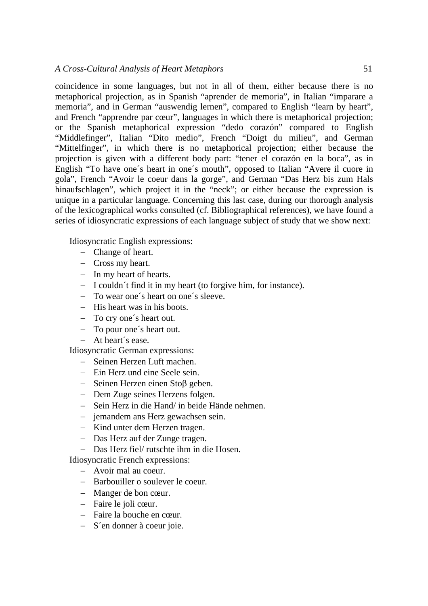coincidence in some languages, but not in all of them, either because there is no metaphorical projection, as in Spanish "aprender de memoria", in Italian "imparare a memoria", and in German "auswendig lernen", compared to English "learn by heart", and French "apprendre par cœur", languages in which there is metaphorical projection; or the Spanish metaphorical expression "dedo corazón" compared to English "Middlefinger", Italian "Dito medio", French "Doigt du milieu", and German "Mittelfinger", in which there is no metaphorical projection; either because the projection is given with a different body part: "tener el corazón en la boca", as in English "To have one´s heart in one´s mouth", opposed to Italian "Avere il cuore in gola", French "Avoir le coeur dans la gorge", and German "Das Herz bis zum Hals hinaufschlagen", which project it in the "neck"; or either because the expression is unique in a particular language. Concerning this last case, during our thorough analysis of the lexicographical works consulted (cf. Bibliographical references), we have found a series of idiosyncratic expressions of each language subject of study that we show next:

Idiosyncratic English expressions:

- − Change of heart.
- − Cross my heart.
- − In my heart of hearts.
- − I couldn´t find it in my heart (to forgive him, for instance).
- − To wear one´s heart on one´s sleeve.
- − His heart was in his boots.
- − To cry one´s heart out.
- − To pour one´s heart out.
- − At heart´s ease.

Idiosyncratic German expressions:

- − Seinen Herzen Luft machen.
- − Ein Herz und eine Seele sein.
- − Seinen Herzen einen Stoβ geben.
- − Dem Zuge seines Herzens folgen.
- − Sein Herz in die Hand/ in beide Hände nehmen.
- − jemandem ans Herz gewachsen sein.
- − Kind unter dem Herzen tragen.
- − Das Herz auf der Zunge tragen.
- − Das Herz fiel/ rutschte ihm in die Hosen.

Idiosyncratic French expressions:

- − Avoir mal au coeur.
- − Barbouiller o soulever le coeur.
- − Manger de bon cœur.
- − Faire le joli cœur.
- − Faire la bouche en cœur.
- − S´en donner à coeur joie.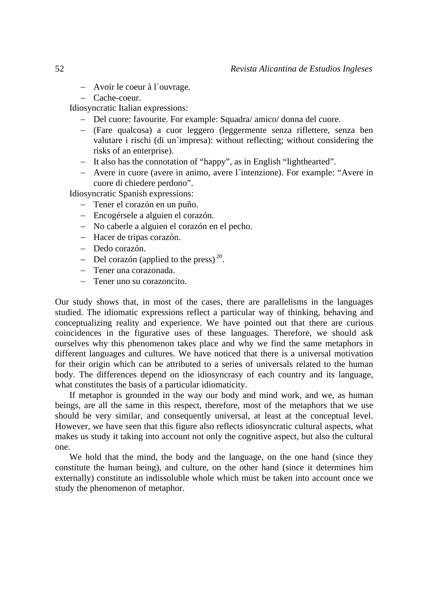- − Avoir le coeur à l´ouvrage.
- − Cache-coeur.

Idiosyncratic Italian expressions:

- − Del cuore: favourite. For example: Squadra/ amico/ donna del cuore.
- − (Fare qualcosa) a cuor leggero (leggermente senza riflettere, senza ben valutare i rischi (di un´impresa): without reflecting; without considering the risks of an enterprise).
- − It also has the connotation of "happy", as in English "lighthearted".
- − Avere in cuore (avere in animo, avere l´intenzione). For example: "Avere in cuore di chiedere perdono".

Idiosyncratic Spanish expressions:

- − Tener el corazón en un puño.
- − Encogérsele a alguien el corazón.
- − No caberle a alguien el corazón en el pecho.
- − Hacer de tripas corazón.
- − Dedo corazón.
- $-$  Del corazón (applied to the press)<sup>20</sup>.
- − Tener una corazonada.
- − Tener uno su corazoncito.

Our study shows that, in most of the cases, there are parallelisms in the languages studied. The idiomatic expressions reflect a particular way of thinking, behaving and conceptualizing reality and experience. We have pointed out that there are curious coincidences in the figurative uses of these languages. Therefore, we should ask ourselves why this phenomenon takes place and why we find the same metaphors in different languages and cultures. We have noticed that there is a universal motivation for their origin which can be attributed to a series of universals related to the human body. The differences depend on the idiosyncrasy of each country and its language, what constitutes the basis of a particular idiomaticity.

If metaphor is grounded in the way our body and mind work, and we, as human beings, are all the same in this respect, therefore, most of the metaphors that we use should be very similar, and consequently universal, at least at the conceptual level. However, we have seen that this figure also reflects idiosyncratic cultural aspects, what makes us study it taking into account not only the cognitive aspect, but also the cultural one.

We hold that the mind, the body and the language, on the one hand (since they constitute the human being), and culture, on the other hand (since it determines him externally) constitute an indissoluble whole which must be taken into account once we study the phenomenon of metaphor.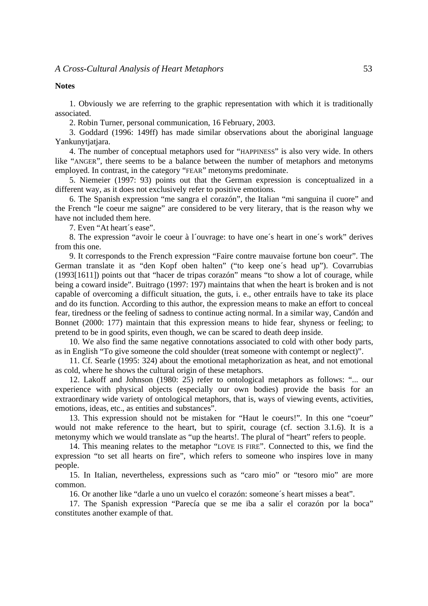**Notes** 

1. Obviously we are referring to the graphic representation with which it is traditionally associated.

2. Robin Turner, personal communication, 16 February, 2003.

3. Goddard (1996: 149ff) has made similar observations about the aboriginal language Yankunytjatjara.

4. The number of conceptual metaphors used for "HAPPINESS" is also very wide. In others like "ANGER", there seems to be a balance between the number of metaphors and metonyms employed. In contrast, in the category "FEAR" metonyms predominate.

5. Niemeier (1997: 93) points out that the German expression is conceptualized in a different way, as it does not exclusively refer to positive emotions.

6. The Spanish expression "me sangra el corazón", the Italian "mi sanguina il cuore" and the French "le coeur me saigne" are considered to be very literary, that is the reason why we have not included them here.

7. Even "At heart´s ease".

8. The expression "avoir le coeur à l´ouvrage: to have one´s heart in one´s work" derives from this one.

9. It corresponds to the French expression "Faire contre mauvaise fortune bon coeur". The German translate it as "den Kopf oben halten" ("to keep one´s head up"). Covarrubias (1993[1611]) points out that "hacer de tripas corazón" means "to show a lot of courage, while being a coward inside". Buitrago (1997: 197) maintains that when the heart is broken and is not capable of overcoming a difficult situation, the guts, i. e., other entrails have to take its place and do its function. According to this author, the expression means to make an effort to conceal fear, tiredness or the feeling of sadness to continue acting normal. In a similar way, Candón and Bonnet (2000: 177) maintain that this expression means to hide fear, shyness or feeling; to pretend to be in good spirits, even though, we can be scared to death deep inside.

10. We also find the same negative connotations associated to cold with other body parts, as in English "To give someone the cold shoulder (treat someone with contempt or neglect)".

11. Cf. Searle (1995: 324) about the emotional metaphorization as heat, and not emotional as cold, where he shows the cultural origin of these metaphors.

12. Lakoff and Johnson (1980: 25) refer to ontological metaphors as follows: "... our experience with physical objects (especially our own bodies) provide the basis for an extraordinary wide variety of ontological metaphors, that is, ways of viewing events, activities, emotions, ideas, etc., as entities and substances".

13. This expression should not be mistaken for "Haut le coeurs!". In this one "coeur" would not make reference to the heart, but to spirit, courage (cf. section 3.1.6). It is a metonymy which we would translate as "up the hearts!. The plural of "heart" refers to people.

14. This meaning relates to the metaphor "LOVE IS FIRE". Connected to this, we find the expression "to set all hearts on fire", which refers to someone who inspires love in many people.

15. In Italian, nevertheless, expressions such as "caro mio" or "tesoro mio" are more common.

16. Or another like "darle a uno un vuelco el corazón: someone´s heart misses a beat".

17. The Spanish expression "Parecía que se me iba a salir el corazón por la boca" constitutes another example of that.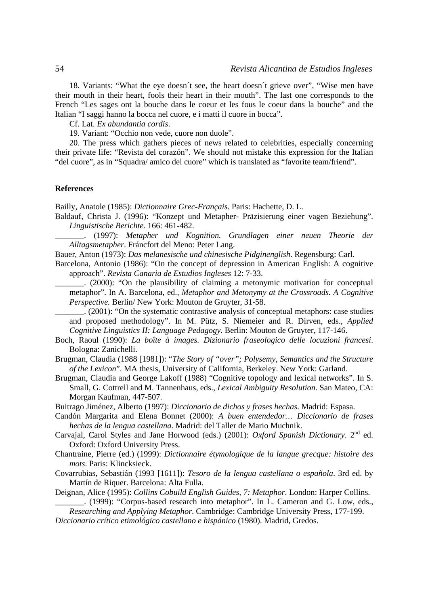18. Variants: "What the eye doesn´t see, the heart doesn´t grieve over", "Wise men have their mouth in their heart, fools their heart in their mouth". The last one corresponds to the French "Les sages ont la bouche dans le coeur et les fous le coeur dans la bouche" and the Italian "I saggi hanno la bocca nel cuore, e i matti il cuore in bocca".

Cf. Lat. *Ex abundantia cordis*.

19. Variant: "Occhio non vede, cuore non duole".

20. The press which gathers pieces of news related to celebrities, especially concerning their private life: "Revista del corazón". We should not mistake this expression for the Italian "del cuore", as in "Squadra/ amico del cuore" which is translated as "favorite team/friend".

### **References**

Bailly, Anatole (1985): *Dictionnaire Grec-Français*. Paris: Hachette, D. L.

Baldauf, Christa J. (1996): "Konzept und Metapher- Präzisierung einer vagen Beziehung". *Linguistische Berichte*. 166: 461-482.

\_\_\_\_\_\_\_. (1997): *Metapher und Kognition. Grundlagen einer neuen Theorie der Alltagsmetapher*. Fráncfort del Meno: Peter Lang.

- Bauer, Anton (1973): *Das melanesische und chinesische Pidginenglish*. Regensburg: Carl.
- Barcelona, Antonio (1986): "On the concept of depression in American English: A cognitive approach". *Revista Canaria de Estudios Ingleses* 12: 7-33.

\_\_\_\_\_\_\_. (2000): "On the plausibility of claiming a metonymic motivation for conceptual metaphor". In A. Barcelona, ed., *Metaphor and Metonymy at the Crossroads. A Cognitive Perspective.* Berlin/ New York: Mouton de Gruyter, 31-58.

\_\_\_\_\_\_\_. (2001): "On the systematic contrastive analysis of conceptual metaphors: case studies and proposed methodology". In M. Pütz, S. Niemeier and R. Dirven, eds., *Applied Cognitive Linguistics II: Language Pedagogy*. Berlin: Mouton de Gruyter, 117-146.

- Boch, Raoul (1990): *La boîte à images. Dizionario fraseologico delle locuzioni francesi*. Bologna: Zanichelli.
- Brugman, Claudia (1988 [1981]): "*The Story of "over"; Polysemy, Semantics and the Structure of the Lexicon*". MA thesis, University of California, Berkeley. New York: Garland.
- Brugman, Claudia and George Lakoff (1988) "Cognitive topology and lexical networks". In S. Small, G. Cottrell and M. Tannenhaus, eds., *Lexical Ambiguity Resolution*. San Mateo, CA: Morgan Kaufman, 447-507.

Buitrago Jiménez, Alberto (1997): *Diccionario de dichos y frases hechas*. Madrid: Espasa.

- Candón Margarita and Elena Bonnet (2000): *A buen entendedor… Diccionario de frases hechas de la lengua castellana*. Madrid: del Taller de Mario Muchnik.
- Carvajal, Carol Styles and Jane Horwood (eds.) (2001): *Oxford Spanish Dictionary*. 2nd ed. Oxford: Oxford University Press.
- Chantraine, Pierre (ed.) (1999): *Dictionnaire étymologique de la langue grecque: histoire des mots*. Paris: Klincksieck.
- Covarrubias, Sebastián (1993 [1611]): *Tesoro de la lengua castellana o española*. 3rd ed. by Martín de Riquer. Barcelona: Alta Fulla.
- Deignan, Alice (1995): *Collins Cobuild English Guides, 7: Metaphor*. London: Harper Collins. \_\_\_\_\_\_\_. (1999): "Corpus-based research into metaphor". In L. Cameron and G. Low, eds.,

*Researching and Applying Metaphor*. Cambridge: Cambridge University Press, 177-199. *Diccionario crítico etimológico castellano e hispánico* (1980). Madrid, Gredos.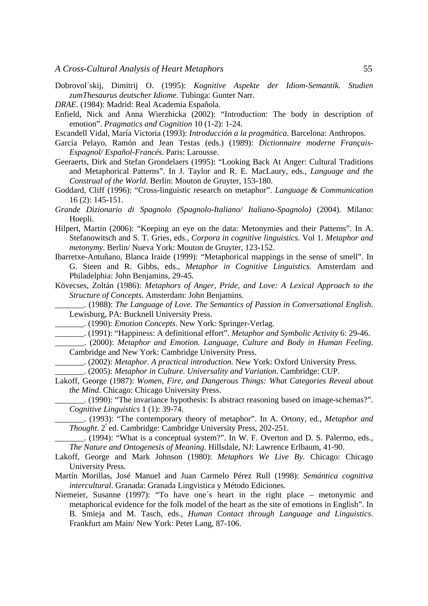- Dobrovol´skij, Dimitrij O. (1995): *Kognitive Aspekte der Idiom-Semantik. Studien zumThesaurus deutscher Idiome*. Tubinga: Gunter Narr.
- *DRAE*. (1984): Madrid: Real Academia Española.
- Enfield, Nick and Anna Wierzbicka (2002): "Introduction: The body in description of emotion". *Pragmatics and Cognition* 10 (1-2): 1-24.
- Escandell Vidal, María Victoria (1993): *Introducción a la pragmática*. Barcelona: Anthropos.
- García Pelayo, Ramón and Jean Testas (eds.) (1989): *Dictionnaire moderne Français-Espagnol/ Español-Francés*. Paris: Larousse.
- Geeraerts, Dirk and Stefan Grondelaers (1995): "Looking Back At Anger: Cultural Traditions and Metaphorical Patterns". In J. Taylor and R. E. MacLaury, eds., *Language and the Construal of the World*. Berlin: Mouton de Gruyter, 153-180.
- Goddard, Cliff (1996): "Cross-linguistic research on metaphor". *Language & Communication* 16 (2): 145-151.
- *Grande Dizionario di Spagnolo (Spagnolo-Italiano/ Italiano-Spagnolo)* (2004). Milano: Hoepli.
- Hilpert, Martin (2006): "Keeping an eye on the data: Metonymies and their Patterns". In A. Stefanowitsch and S. T. Gries, eds., *Corpora in cognitive linguistics*. Vol 1. *Metaphor and metonymy*. Berlin/ Nueva York: Mouton de Gruyter, 123-152.
- Ibarretxe-Antuñano, Blanca Iraide (1999): "Metaphorical mappings in the sense of smell". In G. Steen and R. Gibbs, eds., *Metaphor in Cognitive Linguistics*. Amsterdam and Philadelphia: John Benjamins, 29-45.
- Kövecses, Zoltán (1986): *Metaphors of Anger, Pride, and Love: A Lexical Approach to the Structure of Concepts.* Amsterdam: John Benjamins.
- \_\_\_\_\_\_\_. (1988): *The Language of Love. The Semantics of Passion in Conversational English*. Lewisburg, PA: Bucknell University Press.
	- \_\_\_\_\_\_\_. (1990): *Emotion Concepts*. New York: Springer-Verlag.
- \_\_\_\_\_\_\_. (1991): "Happiness: A definitional effort". *Metaphor and Symbolic Activity* 6: 29-46.

\_\_\_\_\_\_\_. (2000): *Metaphor and Emotion. Language, Culture and Body in Human Feeling*. Cambridge and New York: Cambridge University Press.

\_\_\_\_\_\_\_. (2002): *Metaphor. A practical introduction.* New York: Oxford University Press.

\_\_\_\_\_\_\_. (2005): *Metaphor in Culture. Universality and Variation*. Cambridge: CUP.

- Lakoff, George (1987): *Women, Fire, and Dangerous Things: What Categories Reveal about the Mind*. Chicago: Chicago University Press.
	- \_\_\_\_\_\_\_. (1990): "The invariance hypothesis: Is abstract reasoning based on image-schemas?". *Cognitive Linguistics* 1 (1): 39-74.
	- \_\_\_\_\_\_\_. (1993): "The contemporary theory of metaphor". In A. Ortony, ed., *Metaphor and Thought*. 2ª ed. Cambridge: Cambridge University Press, 202-251.
	- \_\_\_\_\_\_\_. (1994): "What is a conceptual system?". In W. F. Overton and D. S. Palermo, eds., *The Nature and Ontogenesis of Meaning*. Hillsdale, NJ: Lawrence Erlbaum, 41-90.
- Lakoff, George and Mark Johnson (1980): *Metaphors We Live By.* Chicago: Chicago University Press.
- Martín Morillas, José Manuel and Juan Carmelo Pérez Rull (1998): *Semántica cognitiva intercultural*. Granada: Granada Lingvistica y Método Ediciones.
- Niemeier, Susanne (1997): "To have one´s heart in the right place metonymic and metaphorical evidence for the folk model of the heart as the site of emotions in English". In B. Smieja and M. Tasch, eds., *Human Contact through Language and Linguistics*. Frankfurt am Main/ New York: Peter Lang, 87-106.